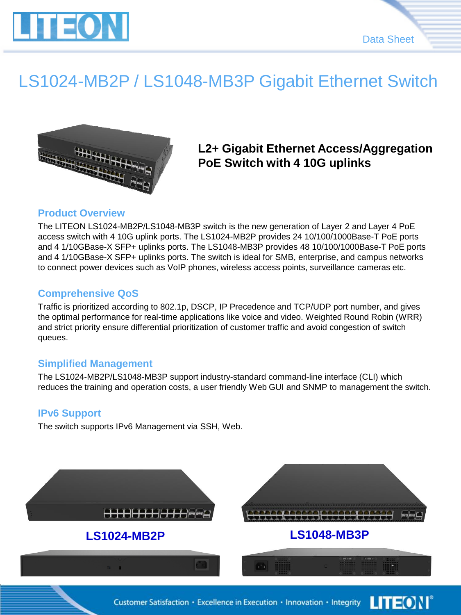



### LS1024-MB2P / LS1048-MB3P Gigabit Ethernet Switch



### **L2+ Gigabit Ethernet Access/Aggregation PoE Switch with 4 10G uplinks**

#### **Product Overview**

The LITEON LS1024-MB2P/LS1048-MB3P switch is the new generation of Layer 2 and Layer 4 PoE access switch with 4 10G uplink ports. The LS1024-MB2P provides 24 10/100/1000Base-T PoE ports and 4 1/10GBase-X SFP+ uplinks ports. The LS1048-MB3P provides 48 10/100/1000Base-T PoE ports and 4 1/10GBase-X SFP+ uplinks ports. The switch is ideal for SMB, enterprise, and campus networks to connect power devices such as VoIP phones, wireless access points, surveillance cameras etc.

#### **Comprehensive QoS**

Traffic is prioritized according to 802.1p, DSCP, IP Precedence and TCP/UDP port number, and gives the optimal performance for real-time applications like voice and video. Weighted Round Robin (WRR) and strict priority ensure differential prioritization of customer traffic and avoid congestion of switch queues.

#### **Simplified Management**

The LS1024-MB2P/LS1048-MB3P support industry-standard command-line interface (CLI) which reduces the training and operation costs, a user friendly Web GUI and SNMP to management the switch.

#### **IPv6 Support**

The switch supports IPv6 Management via SSH, Web.

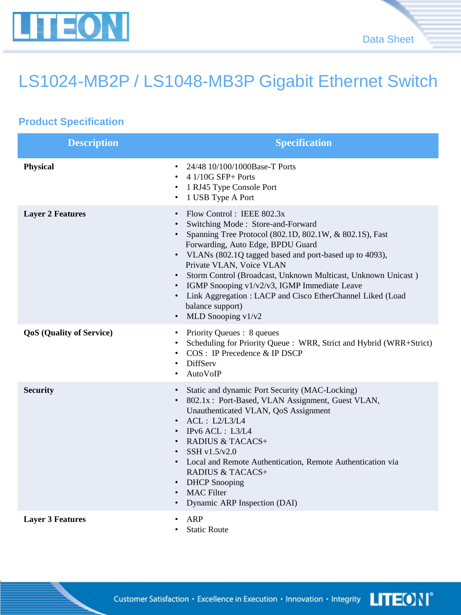

# LS1024-MB2P / LS1048-MB3P Gigabit Ethernet Switch

### **Product Specification**

| <b>Description</b>              | <b>Specification</b>                                                                                                                                                                                                                                                                                                                                                                                                                                                                       |
|---------------------------------|--------------------------------------------------------------------------------------------------------------------------------------------------------------------------------------------------------------------------------------------------------------------------------------------------------------------------------------------------------------------------------------------------------------------------------------------------------------------------------------------|
| Physical                        | 24/48 10/100/1000Base-T Ports<br>$\cdot$ 4 1/10G SFP+ Ports<br>1 RJ45 Type Console Port<br>1 USB Type A Port                                                                                                                                                                                                                                                                                                                                                                               |
| <b>Layer 2 Features</b>         | Flow Control: IEEE 802.3x<br>Switching Mode: Store-and-Forward<br>• Spanning Tree Protocol (802.1D, 802.1W, & 802.1S), Fast<br>Forwarding, Auto Edge, BPDU Guard<br>• VLANs (802.1Q tagged based and port-based up to 4093),<br>Private VLAN, Voice VLAN<br>· Storm Control (Broadcast, Unknown Multicast, Unknown Unicast)<br>• IGMP Snooping v1/v2/v3, IGMP Immediate Leave<br>• Link Aggregation: LACP and Cisco EtherChannel Liked (Load<br>balance support)<br>• MLD Snooping $v1/v2$ |
| <b>QoS</b> (Quality of Service) | Priority Queues : 8 queues<br>٠<br>Scheduling for Priority Queue : WRR, Strict and Hybrid (WRR+Strict)<br>COS : IP Precedence & IP DSCP<br>DiffServ<br>AutoVoIP                                                                                                                                                                                                                                                                                                                            |
| <b>Security</b>                 | Static and dynamic Port Security (MAC-Locking)<br>• 802.1x: Port-Based, VLAN Assignment, Guest VLAN,<br>Unauthenticated VLAN, QoS Assignment<br>$\cdot$ ACL : L2/L3/L4<br>$\cdot$ IPv6 ACL : L3/L4<br>• RADIUS & TACACS+<br>SSH $v1.5/v2.0$<br>• Local and Remote Authentication, Remote Authentication via<br><b>RADIUS &amp; TACACS+</b><br>• DHCP Snooping<br><b>MAC</b> Filter<br>Dynamic ARP Inspection (DAI)                                                                         |
| <b>Layer 3 Features</b>         | ARP<br><b>Static Route</b>                                                                                                                                                                                                                                                                                                                                                                                                                                                                 |

**LITEON**® Customer Satisfaction · Excellence in Execution · Innovation · Integrity